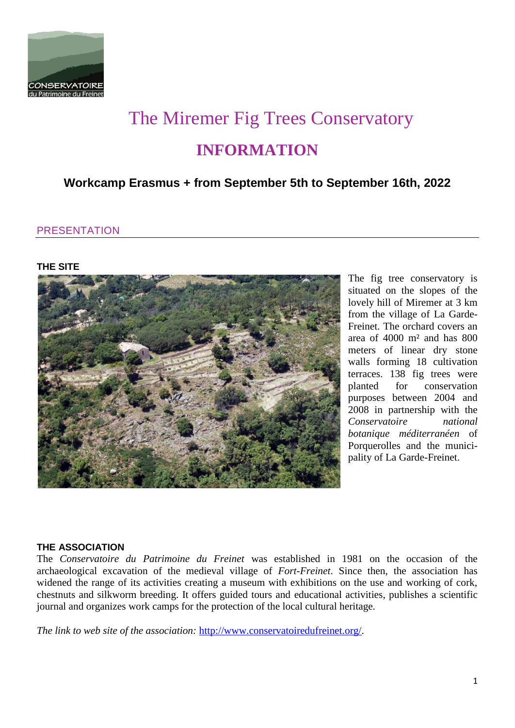

# The Miremer Fig Trees Conservatory **INFORMATION**

## **Workcamp Erasmus + from September 5th to September 16th, 2022**

## **PRESENTATION**

#### **THE SITE**



The fig tree conservatory is situated on the slopes of the lovely hill of Miremer at 3 km from the village of La Garde-Freinet. The orchard covers an area of 4000 m² and has 800 meters of linear dry stone walls forming 18 cultivation terraces. 138 fig trees were planted for conservation purposes between 2004 and 2008 in partnership with the *Conservatoire national botanique méditerranéen* of Porquerolles and the municipality of La Garde-Freinet.

#### **THE ASSOCIATION**

The *Conservatoire du Patrimoine du Freinet* was established in 1981 on the occasion of the archaeological excavation of the medieval village of *Fort-Freinet*. Since then, the association has widened the range of its activities creating a museum with exhibitions on the use and working of cork, chestnuts and silkworm breeding. It offers guided tours and educational activities, publishes a scientific journal and organizes work camps for the protection of the local cultural heritage.

*The link to web site of the association:* [http://www.conservatoiredufreinet.org/.](http://www.conservatoiredufreinet.org/)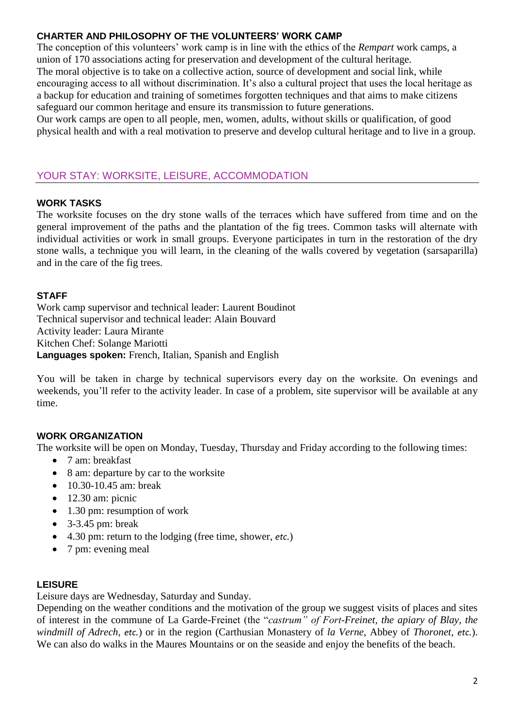## **CHARTER AND PHILOSOPHY OF THE VOLUNTEERS' WORK CAMP**

The conception of this volunteers' work camp is in line with the ethics of the *Rempart* work camps, a union of 170 associations acting for preservation and development of the cultural heritage. The moral objective is to take on a collective action, source of development and social link, while encouraging access to all without discrimination. It's also a cultural project that uses the local heritage as a backup for education and training of sometimes forgotten techniques and that aims to make citizens safeguard our common heritage and ensure its transmission to future generations.

Our work camps are open to all people, men, women, adults, without skills or qualification, of good physical health and with a real motivation to preserve and develop cultural heritage and to live in a group.

## YOUR STAY: WORKSITE, LEISURE, ACCOMMODATION

#### **WORK TASKS**

The worksite focuses on the dry stone walls of the terraces which have suffered from time and on the general improvement of the paths and the plantation of the fig trees. Common tasks will alternate with individual activities or work in small groups. Everyone participates in turn in the restoration of the dry stone walls, a technique you will learn, in the cleaning of the walls covered by vegetation (sarsaparilla) and in the care of the fig trees.

#### **STAFF**

Work camp supervisor and technical leader: Laurent Boudinot Technical supervisor and technical leader: Alain Bouvard Activity leader: Laura Mirante Kitchen Chef: Solange Mariotti **Languages spoken:** French, Italian, Spanish and English

You will be taken in charge by technical supervisors every day on the worksite. On evenings and weekends, you'll refer to the activity leader. In case of a problem, site supervisor will be available at any time.

## **WORK ORGANIZATION**

The worksite will be open on Monday, Tuesday, Thursday and Friday according to the following times:

- 7 am: breakfast
- 8 am: departure by car to the worksite
- $\bullet$  10.30-10.45 am: break
- $\bullet$  12.30 am: picnic
- 1.30 pm: resumption of work
- $\bullet$  3-3.45 pm: break
- 4.30 pm: return to the lodging (free time, shower, *etc.*)
- 7 pm: evening meal

#### **LEISURE**

Leisure days are Wednesday, Saturday and Sunday.

Depending on the weather conditions and the motivation of the group we suggest visits of places and sites of interest in the commune of La Garde-Freinet (the "*castrum" of Fort-Freinet, the apiary of Blay, the windmill of Adrech, etc.*) or in the region (Carthusian Monastery of *la Verne*, Abbey of *Thoronet, etc.*). We can also do walks in the Maures Mountains or on the seaside and enjoy the benefits of the beach.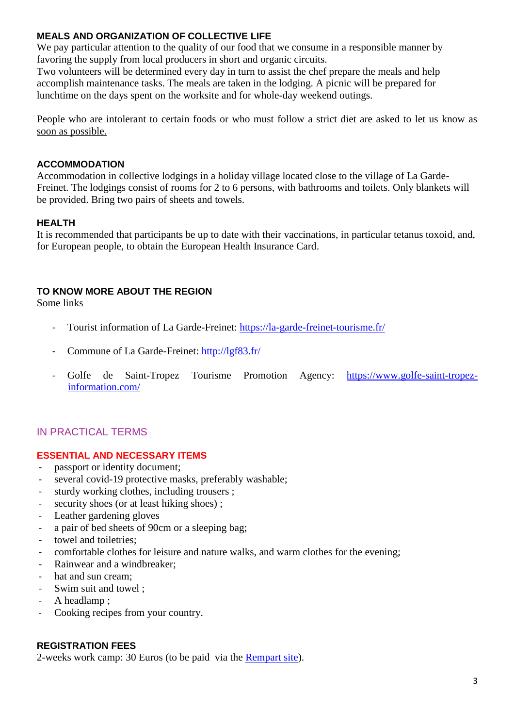## **MEALS AND ORGANIZATION OF COLLECTIVE LIFE**

We pay particular attention to the quality of our food that we consume in a responsible manner by favoring the supply from local producers in short and organic circuits.

Two volunteers will be determined every day in turn to assist the chef prepare the meals and help accomplish maintenance tasks. The meals are taken in the lodging. A picnic will be prepared for lunchtime on the days spent on the worksite and for whole-day weekend outings.

People who are intolerant to certain foods or who must follow a strict diet are asked to let us know as soon as possible.

## **ACCOMMODATION**

Accommodation in collective lodgings in a holiday village located close to the village of La Garde-Freinet. The lodgings consist of rooms for 2 to 6 persons, with bathrooms and toilets. Only blankets will be provided. Bring two pairs of sheets and towels.

## **HEALTH**

It is recommended that participants be up to date with their vaccinations, in particular tetanus toxoid, and, for European people, to obtain the European Health Insurance Card.

## **TO KNOW MORE ABOUT THE REGION**

Some links

- Tourist information of La Garde-Freinet:<https://la-garde-freinet-tourisme.fr/>
- Commune of La Garde-Freinet:<http://lgf83.fr/>
- Golfe de Saint-Tropez Tourisme Promotion Agency: [https://www.golfe-saint-tropez](https://www.golfe-saint-tropez-information.com/)[information.com/](https://www.golfe-saint-tropez-information.com/)

## IN PRACTICAL TERMS

## **ESSENTIAL AND NECESSARY ITEMS**

- passport or identity document;
- several covid-19 protective masks, preferably washable;
- sturdy working clothes, including trousers ;
- security shoes (or at least hiking shoes) ;
- Leather gardening gloves
- a pair of bed sheets of 90cm or a sleeping bag;
- towel and toiletries;
- comfortable clothes for leisure and nature walks, and warm clothes for the evening;
- Rainwear and a windbreaker;
- hat and sun cream;
- Swim suit and towel ;
- A headlamp;
- Cooking recipes from your country.

## **REGISTRATION FEES**

2-weeks work camp: 30 Euros (to be paid via the [Rempart site\)](https://www.rempart.com/participer-a-un-chantier/rechercher-chantier-benevoles-restauration-patrimoine/session/6765_session-erasmus-2022/).